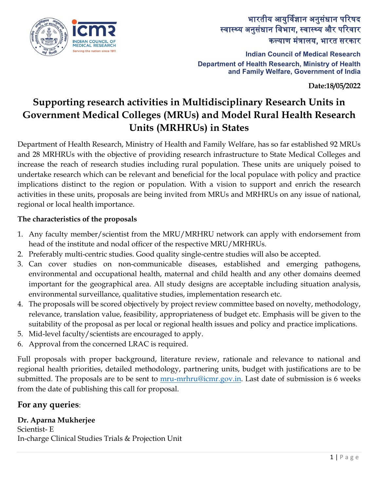

## भारतीय आयुर्विज्ञान अनुसंधान परिषद स्वास्थ्य अनुसंधान िवभाग, स्वास्थ्य और प�रवार कल्याण मं�ालय, भारत सरकार

**Indian Council of Medical Research Department of Health Research, Ministry of Health and Family Welfare, Government of India**

**Date:18/05/2022**

# **Supporting research activities in Multidisciplinary Research Units in Government Medical Colleges (MRUs) and Model Rural Health Research Units (MRHRUs) in States**

Department of Health Research, Ministry of Health and Family Welfare, has so far established 92 MRUs and 28 MRHRUs with the objective of providing research infrastructure to State Medical Colleges and increase the reach of research studies including rural population. These units are uniquely poised to undertake research which can be relevant and beneficial for the local populace with policy and practice implications distinct to the region or population. With a vision to support and enrich the research activities in these units, proposals are being invited from MRUs and MRHRUs on any issue of national, regional or local health importance.

#### **The characteristics of the proposals**

- 1. Any faculty member/scientist from the MRU/MRHRU network can apply with endorsement from head of the institute and nodal officer of the respective MRU/MRHRUs.
- 2. Preferably multi-centric studies. Good quality single-centre studies will also be accepted.
- 3. Can cover studies on non-communicable diseases, established and emerging pathogens, environmental and occupational health, maternal and child health and any other domains deemed important for the geographical area. All study designs are acceptable including situation analysis, environmental surveillance, qualitative studies, implementation research etc.
- 4. The proposals will be scored objectively by project review committee based on novelty, methodology, relevance, translation value, feasibility, appropriateness of budget etc. Emphasis will be given to the suitability of the proposal as per local or regional health issues and policy and practice implications.
- 5. Mid-level faculty/scientists are encouraged to apply.
- 6. Approval from the concerned LRAC is required.

Full proposals with proper background, literature review, rationale and relevance to national and regional health priorities, detailed methodology, partnering units, budget with justifications are to be submitted. The proposals are to be sent to [mru-mrhru@icmr.gov.in.](mailto:mru-mrhru@icmr.gov.in) Last date of submission is 6 weeks from the date of publishing this call for proposal.

## **For any queries**:

**Dr. Aparna Mukherjee** Scientist- E In-charge Clinical Studies Trials & Projection Unit